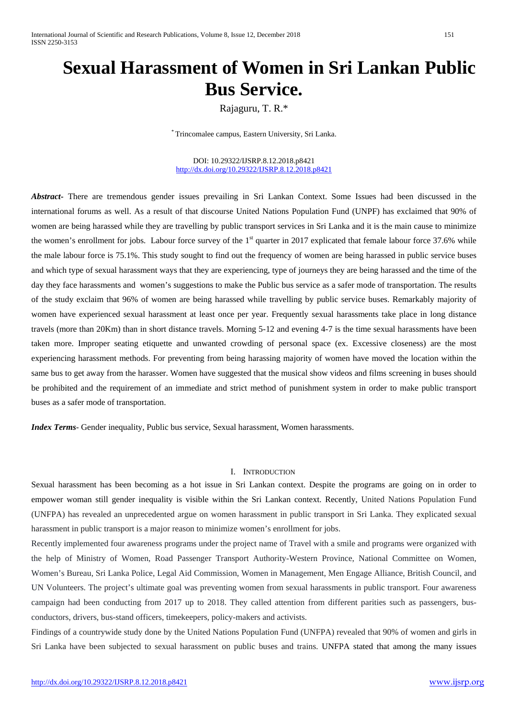# **Sexual Harassment of Women in Sri Lankan Public Bus Service.**

Rajaguru, T. R.\*

\* Trincomalee campus, Eastern University, Sri Lanka.

DOI: 10.29322/IJSRP.8.12.2018.p8421 <http://dx.doi.org/10.29322/IJSRP.8.12.2018.p8421>

*Abstract***-** There are tremendous gender issues prevailing in Sri Lankan Context. Some Issues had been discussed in the international forums as well. As a result of that discourse United Nations Population Fund (UNPF) has exclaimed that 90% of women are being harassed while they are travelling by public transport services in Sri Lanka and it is the main cause to minimize the women's enrollment for jobs. Labour force survey of the  $1<sup>st</sup>$  quarter in 2017 explicated that female labour force 37.6% while the male labour force is 75.1%. This study sought to find out the frequency of women are being harassed in public service buses and which type of sexual harassment ways that they are experiencing, type of journeys they are being harassed and the time of the day they face harassments and women's suggestions to make the Public bus service as a safer mode of transportation. The results of the study exclaim that 96% of women are being harassed while travelling by public service buses. Remarkably majority of women have experienced sexual harassment at least once per year. Frequently sexual harassments take place in long distance travels (more than 20Km) than in short distance travels. Morning 5-12 and evening 4-7 is the time sexual harassments have been taken more. Improper seating etiquette and unwanted crowding of personal space (ex. Excessive closeness) are the most experiencing harassment methods. For preventing from being harassing majority of women have moved the location within the same bus to get away from the harasser. Women have suggested that the musical show videos and films screening in buses should be prohibited and the requirement of an immediate and strict method of punishment system in order to make public transport buses as a safer mode of transportation.

*Index Terms*- Gender inequality, Public bus service, Sexual harassment, Women harassments.

#### I. INTRODUCTION

Sexual harassment has been becoming as a hot issue in Sri Lankan context. Despite the programs are going on in order to empower woman still gender inequality is visible within the Sri Lankan context. Recently, United Nations Population Fund (UNFPA) has revealed an unprecedented argue on women harassment in public transport in Sri Lanka. They explicated sexual harassment in public transport is a major reason to minimize women's enrollment for jobs.

Recently implemented four awareness programs under the project name of Travel with a smile and programs were organized with the help of Ministry of Women, Road Passenger Transport Authority-Western Province, National Committee on Women, Women's Bureau, Sri Lanka Police, Legal Aid Commission, Women in Management, Men Engage Alliance, British Council, and UN Volunteers. The project's ultimate goal was preventing women from sexual harassments in public transport. Four awareness campaign had been conducting from 2017 up to 2018. They called attention from different parities such as passengers, busconductors, drivers, bus-stand officers, timekeepers, policy-makers and activists.

Findings of a countrywide study done by the United Nations Population Fund (UNFPA) revealed that 90% of women and girls in Sri Lanka have been subjected to sexual harassment on public buses and trains. UNFPA stated that among the many issues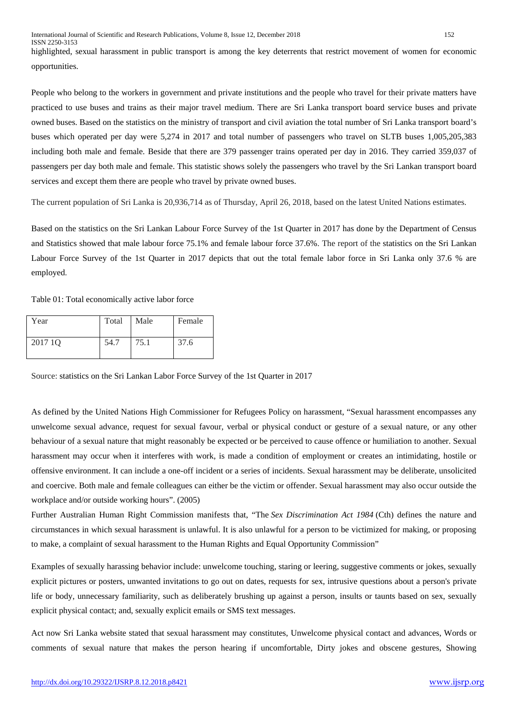highlighted, sexual harassment in public transport is among the key deterrents that restrict movement of women for economic opportunities.

People who belong to the workers in government and private institutions and the people who travel for their private matters have practiced to use buses and trains as their major travel medium. There are Sri Lanka transport board service buses and private owned buses. Based on the statistics on the ministry of transport and civil aviation the total number of Sri Lanka transport board's buses which operated per day were 5,274 in 2017 and total number of passengers who travel on SLTB buses 1,005,205,383 including both male and female. Beside that there are 379 passenger trains operated per day in 2016. They carried 359,037 of passengers per day both male and female. This statistic shows solely the passengers who travel by the Sri Lankan transport board services and except them there are people who travel by private owned buses.

The current population of Sri Lanka is 20,936,714 as of Thursday, April 26, 2018, based on the latest United Nations estimates.

Based on the statistics on the Sri Lankan Labour Force Survey of the 1st Quarter in 2017 has done by the Department of Census and Statistics showed that male labour force 75.1% and female labour force 37.6%. The report of the statistics on the Sri Lankan Labour Force Survey of the 1st Quarter in 2017 depicts that out the total female labor force in Sri Lanka only 37.6 % are employed.

Table 01: Total economically active labor force

| Year    | Total | Male | Female |
|---------|-------|------|--------|
| 2017 10 | 54.7  | 75.1 | 37.6   |

Source: statistics on the Sri Lankan Labor Force Survey of the 1st Quarter in 2017

As defined by the United Nations High Commissioner for Refugees Policy on harassment, "Sexual harassment encompasses any unwelcome sexual advance, request for sexual favour, verbal or physical conduct or gesture of a sexual nature, or any other behaviour of a sexual nature that might reasonably be expected or be perceived to cause offence or humiliation to another. Sexual harassment may occur when it interferes with work, is made a condition of employment or creates an intimidating, hostile or offensive environment. It can include a one-off incident or a series of incidents. Sexual harassment may be deliberate, unsolicited and coercive. Both male and female colleagues can either be the victim or offender. Sexual harassment may also occur outside the workplace and/or outside working hours". (2005)

Further Australian Human Right Commission manifests that, "The *Sex Discrimination Act 1984* (Cth) defines the nature and circumstances in which sexual harassment is unlawful. It is also unlawful for a person to be victimized for making, or proposing to make, a complaint of sexual harassment to the Human Rights and Equal Opportunity Commission"

Examples of sexually harassing behavior include: unwelcome touching, staring or leering, suggestive comments or jokes, sexually explicit pictures or posters, unwanted invitations to go out on dates, requests for sex, intrusive questions about a person's private life or body, unnecessary familiarity, such as deliberately brushing up against a person, insults or taunts based on sex, sexually explicit physical contact; and, sexually explicit emails or SMS text messages.

Act now Sri Lanka website stated that sexual harassment may constitutes, Unwelcome physical contact and advances, Words or comments of sexual nature that makes the person hearing if uncomfortable, Dirty jokes and obscene gestures, Showing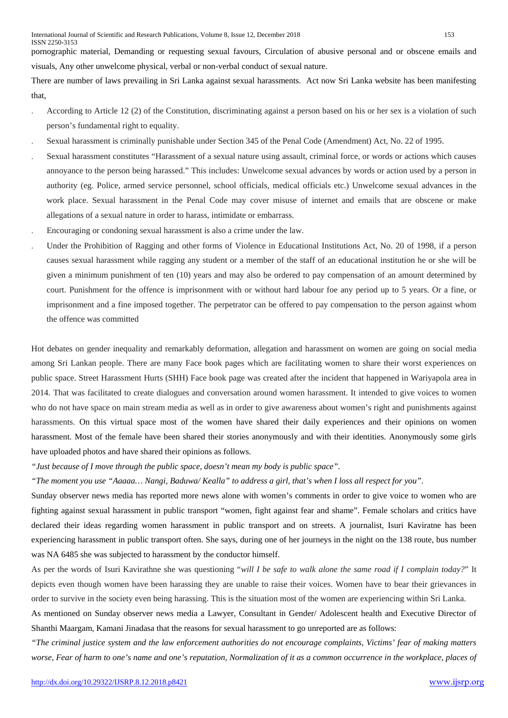There are number of laws prevailing in Sri Lanka against sexual harassments. Act now Sri Lanka website has been manifesting that,

- . According to Article 12 (2) of the Constitution, discriminating against a person based on his or her sex is a violation of such person's fundamental right to equality.
- . Sexual harassment is criminally punishable under Section 345 of the Penal Code (Amendment) Act, No. 22 of 1995.
- . Sexual harassment constitutes "Harassment of a sexual nature using assault, criminal force, or words or actions which causes annoyance to the person being harassed." This includes: Unwelcome sexual advances by words or action used by a person in authority (eg. Police, armed service personnel, school officials, medical officials etc.) Unwelcome sexual advances in the work place. Sexual harassment in the Penal Code may cover misuse of internet and emails that are obscene or make allegations of a sexual nature in order to harass, intimidate or embarrass.
- . Encouraging or condoning sexual harassment is also a crime under the law.
- . Under the Prohibition of Ragging and other forms of Violence in Educational Institutions Act, No. 20 of 1998, if a person causes sexual harassment while ragging any student or a member of the staff of an educational institution he or she will be given a minimum punishment of ten (10) years and may also be ordered to pay compensation of an amount determined by court. Punishment for the offence is imprisonment with or without hard labour foe any period up to 5 years. Or a fine, or imprisonment and a fine imposed together. The perpetrator can be offered to pay compensation to the person against whom the offence was committed

Hot debates on gender inequality and remarkably deformation, allegation and harassment on women are going on social media among Sri Lankan people. There are many Face book pages which are facilitating women to share their worst experiences on public space. Street Harassment Hurts (SHH) Face book page was created after the incident that happened in Wariyapola area in 2014. That was facilitated to create dialogues and conversation around women harassment. It intended to give voices to women who do not have space on main stream media as well as in order to give awareness about women's right and punishments against harassments. On this virtual space most of the women have shared their daily experiences and their opinions on women harassment. Most of the female have been shared their stories anonymously and with their identities. Anonymously some girls have uploaded photos and have shared their opinions as follows.

*"Just because of I move through the public space, doesn't mean my body is public space".* 

*"The moment you use "Aaaaa… Nangi, Baduwa/ Kealla" to address a girl, that's when I loss all respect for you".*

Sunday observer news media has reported more news alone with women's comments in order to give voice to women who are fighting against sexual harassment in public transport "women, fight against fear and shame". Female scholars and critics have declared their ideas regarding women harassment in public transport and on streets. A journalist, Isuri Kaviratne has been experiencing harassment in public transport often. She says, during one of her journeys in the night on the 138 route, bus number was NA 6485 she was subjected to harassment by the conductor himself.

As per the words of Isuri Kavirathne she was questioning "*will I be safe to walk alone the same road if I complain today?*" It depicts even though women have been harassing they are unable to raise their voices. Women have to bear their grievances in order to survive in the society even being harassing. This is the situation most of the women are experiencing within Sri Lanka.

As mentioned on Sunday observer news media a Lawyer, Consultant in Gender/ Adolescent health and Executive Director of Shanthi Maargam, Kamani Jinadasa that the reasons for sexual harassment to go unreported are as follows:

*"The criminal justice system and the law enforcement authorities do not encourage complaints, Victims' fear of making matters worse, Fear of harm to one's name and one's reputation, Normalization of it as a common occurrence in the workplace, places of*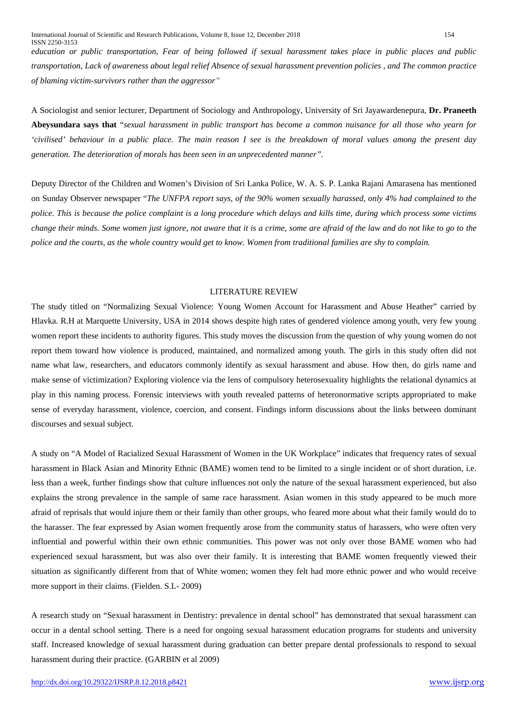*education or public transportation, Fear of being followed if sexual harassment takes place in public places and public transportation, Lack of awareness about legal relief Absence of sexual harassment prevention policies , and The common practice of blaming victim-survivors rather than the aggressor"*

A Sociologist and senior lecturer, Department of Sociology and Anthropology, University of Sri Jayawardenepura, **Dr. Praneeth Abeysundara says that** "*sexual harassment in public transport has become a common nuisance for all those who yearn for 'civilised' behaviour in a public place. The main reason I see is the breakdown of moral values among the present day generation. The deterioration of morals has been seen in an unprecedented manner".*

Deputy Director of the Children and Women's Division of Sri Lanka Police, W. A. S. P. Lanka Rajani Amarasena has mentioned on Sunday Observer newspaper "*The UNFPA report says, of the 90% women sexually harassed, only 4% had complained to the police. This is because the police complaint is a long procedure which delays and kills time, during which process some victims change their minds. Some women just ignore, not aware that it is a crime, some are afraid of the law and do not like to go to the police and the courts, as the whole country would get to know. Women from traditional families are shy to complain.*

#### LITERATURE REVIEW

The study titled on "Normalizing Sexual Violence: Young Women Account for Harassment and Abuse Heather" carried by Hlavka. R.H at Marquette University, USA in 2014 shows despite high rates of gendered violence among youth, very few young women report these incidents to authority figures. This study moves the discussion from the question of why young women do not report them toward how violence is produced, maintained, and normalized among youth. The girls in this study often did not name what law, researchers, and educators commonly identify as sexual harassment and abuse. How then, do girls name and make sense of victimization? Exploring violence via the lens of compulsory heterosexuality highlights the relational dynamics at play in this naming process. Forensic interviews with youth revealed patterns of heteronormative scripts appropriated to make sense of everyday harassment, violence, coercion, and consent. Findings inform discussions about the links between dominant discourses and sexual subject.

A study on "A Model of Racialized Sexual Harassment of Women in the UK Workplace" indicates that frequency rates of sexual harassment in Black Asian and Minority Ethnic (BAME) women tend to be limited to a single incident or of short duration, i.e. less than a week, further findings show that culture influences not only the nature of the sexual harassment experienced, but also explains the strong prevalence in the sample of same race harassment. Asian women in this study appeared to be much more afraid of reprisals that would injure them or their family than other groups, who feared more about what their family would do to the harasser. The fear expressed by Asian women frequently arose from the community status of harassers, who were often very influential and powerful within their own ethnic communities. This power was not only over those BAME women who had experienced sexual harassment, but was also over their family. It is interesting that BAME women frequently viewed their situation as significantly different from that of White women; women they felt had more ethnic power and who would receive more support in their claims. (Fielden. S.L- 2009)

A research study on "Sexual harassment in Dentistry: prevalence in dental school" has demonstrated that sexual harassment can occur in a dental school setting. There is a need for ongoing sexual harassment education programs for students and university staff. Increased knowledge of sexual harassment during graduation can better prepare dental professionals to respond to sexual harassment during their practice. (GARBIN et al 2009)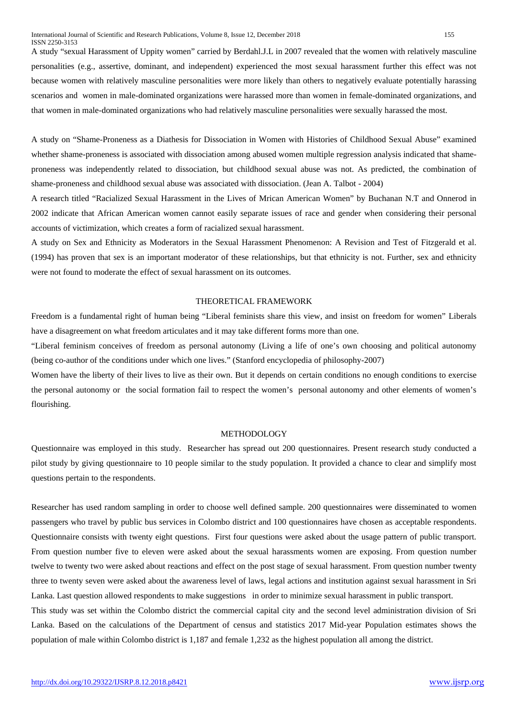A study "sexual Harassment of Uppity women" carried by Berdahl.J.L in 2007 revealed that the women with relatively masculine personalities (e.g., assertive, dominant, and independent) experienced the most sexual harassment further this effect was not because women with relatively masculine personalities were more likely than others to negatively evaluate potentially harassing scenarios and women in male-dominated organizations were harassed more than women in female-dominated organizations, and that women in male-dominated organizations who had relatively masculine personalities were sexually harassed the most.

A study on "Shame-Proneness as a Diathesis for Dissociation in Women with Histories of Childhood Sexual Abuse" examined whether shame-proneness is associated with dissociation among abused women multiple regression analysis indicated that shameproneness was independently related to dissociation, but childhood sexual abuse was not. As predicted, the combination of shame-proneness and childhood sexual abuse was associated with dissociation. (Jean A. Talbot - 2004)

A research titled "Racialized Sexual Harassment in the Lives of Mrican American Women" by Buchanan N.T and Onnerod in 2002 indicate that African American women cannot easily separate issues of race and gender when considering their personal accounts of victimization, which creates a form of racialized sexual harassment.

A study on Sex and Ethnicity as Moderators in the Sexual Harassment Phenomenon: A Revision and Test of Fitzgerald et al. (1994) has proven that sex is an important moderator of these relationships, but that ethnicity is not. Further, sex and ethnicity were not found to moderate the effect of sexual harassment on its outcomes.

#### THEORETICAL FRAMEWORK

Freedom is a fundamental right of human being "Liberal feminists share this view, and insist on freedom for women" Liberals have a disagreement on what freedom articulates and it may take different forms more than one.

"Liberal feminism conceives of freedom as personal autonomy (Living a life of one's own choosing and political autonomy (being co-author of the conditions under which one lives." (Stanford encyclopedia of philosophy-2007)

Women have the liberty of their lives to live as their own. But it depends on certain conditions no enough conditions to exercise the personal autonomy or the social formation fail to respect the women's personal autonomy and other elements of women's flourishing.

## METHODOLOGY

Questionnaire was employed in this study. Researcher has spread out 200 questionnaires. Present research study conducted a pilot study by giving questionnaire to 10 people similar to the study population. It provided a chance to clear and simplify most questions pertain to the respondents.

Researcher has used random sampling in order to choose well defined sample. 200 questionnaires were disseminated to women passengers who travel by public bus services in Colombo district and 100 questionnaires have chosen as acceptable respondents. Questionnaire consists with twenty eight questions. First four questions were asked about the usage pattern of public transport. From question number five to eleven were asked about the sexual harassments women are exposing. From question number twelve to twenty two were asked about reactions and effect on the post stage of sexual harassment. From question number twenty three to twenty seven were asked about the awareness level of laws, legal actions and institution against sexual harassment in Sri Lanka. Last question allowed respondents to make suggestions in order to minimize sexual harassment in public transport.

This study was set within the Colombo district the commercial capital city and the second level administration division of Sri Lanka. Based on the calculations of the Department of census and statistics 2017 Mid-year Population estimates shows the population of male within Colombo district is 1,187 and female 1,232 as the highest population all among the district.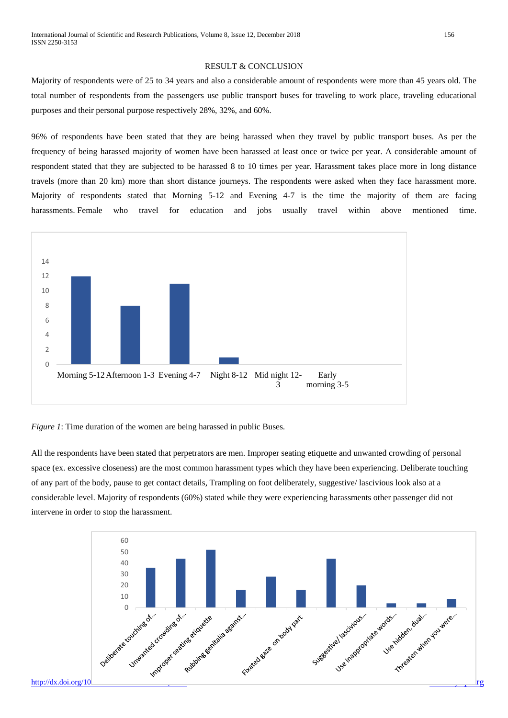#### RESULT & CONCLUSION

Majority of respondents were of 25 to 34 years and also a considerable amount of respondents were more than 45 years old. The total number of respondents from the passengers use public transport buses for traveling to work place, traveling educational purposes and their personal purpose respectively 28%, 32%, and 60%.

96% of respondents have been stated that they are being harassed when they travel by public transport buses. As per the frequency of being harassed majority of women have been harassed at least once or twice per year. A considerable amount of respondent stated that they are subjected to be harassed 8 to 10 times per year. Harassment takes place more in long distance travels (more than 20 km) more than short distance journeys. The respondents were asked when they face harassment more. Majority of respondents stated that Morning 5-12 and Evening 4-7 is the time the majority of them are facing harassments. Female who travel for education and jobs usually travel within above mentioned time.



*Figure 1*: Time duration of the women are being harassed in public Buses.

All the respondents have been stated that perpetrators are men. Improper seating etiquette and unwanted crowding of personal space (ex. excessive closeness) are the most common harassment types which they have been experiencing. Deliberate touching of any part of the body, pause to get contact details, Trampling on foot deliberately, suggestive/ lascivious look also at a considerable level. Majority of respondents (60%) stated while they were experiencing harassments other passenger did not intervene in order to stop the harassment.

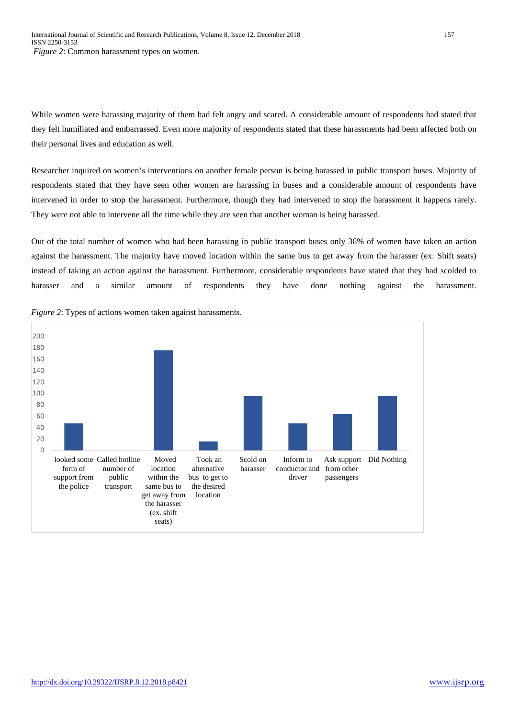While women were harassing majority of them had felt angry and scared. A considerable amount of respondents had stated that they felt humiliated and embarrassed. Even more majority of respondents stated that these harassments had been affected both on their personal lives and education as well.

Researcher inquired on women's interventions on another female person is being harassed in public transport buses. Majority of respondents stated that they have seen other women are harassing in buses and a considerable amount of respondents have intervened in order to stop the harassment. Furthermore, though they had intervened to stop the harassment it happens rarely. They were not able to intervene all the time while they are seen that another woman is being harassed.

Out of the total number of women who had been harassing in public transport buses only 36% of women have taken an action against the harassment. The majority have moved location within the same bus to get away from the harasser (ex: Shift seats) instead of taking an action against the harassment. Furthermore, considerable respondents have stated that they had scolded to harasser and a similar amount of respondents they have done nothing against the harassment.



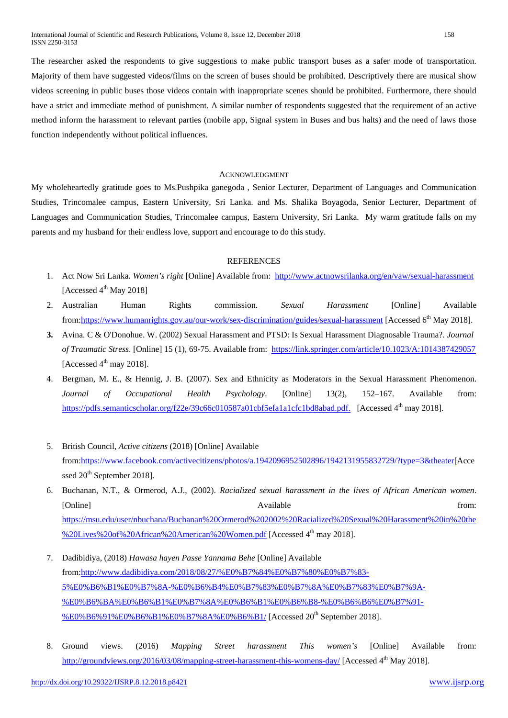The researcher asked the respondents to give suggestions to make public transport buses as a safer mode of transportation. Majority of them have suggested videos/films on the screen of buses should be prohibited. Descriptively there are musical show videos screening in public buses those videos contain with inappropriate scenes should be prohibited. Furthermore, there should have a strict and immediate method of punishment. A similar number of respondents suggested that the requirement of an active method inform the harassment to relevant parties (mobile app, Signal system in Buses and bus halts) and the need of laws those function independently without political influences.

## ACKNOWLEDGMENT

My wholeheartedly gratitude goes to Ms.Pushpika ganegoda , Senior Lecturer, Department of Languages and Communication Studies, Trincomalee campus, Eastern University, Sri Lanka. and Ms. Shalika Boyagoda, Senior Lecturer, Department of Languages and Communication Studies, Trincomalee campus, Eastern University, Sri Lanka. My warm gratitude falls on my parents and my husband for their endless love, support and encourage to do this study.

## **REFERENCES**

- 1. Act Now Sri Lanka. *Women's right* [Online] Available from: <http://www.actnowsrilanka.org/en/vaw/sexual-harassment> [Accessed  $4<sup>th</sup>$  May 2018]
- 2. Australian Human Rights commission. *Sexual Harassment* [Online] Available from: https://www.humanrights.gov.au/our-work/sex-discrimination/guides/sexual-harassment [Accessed 6<sup>th</sup> May 2018].
- **3.** Avina. C & O'Donohue. W. (2002) Sexual Harassment and PTSD: Is Sexual Harassment Diagnosable Trauma?. *Journal of Traumatic Stress*. [Online] 15 (1), 69-75. Available from: <https://link.springer.com/article/10.1023/A:1014387429057> [Accessed  $4<sup>th</sup>$  may 2018].
- 4. Bergman, M. E., & Hennig, J. B. (2007). Sex and Ethnicity as Moderators in the Sexual Harassment Phenomenon. *Journal of Occupational Health Psychology*. [Online] 13(2), 152–167. Available from: https://pdfs.semanticscholar.org/f22e/39c66c010587a01cbf5efa1a1cfc1bd8abad.pdf. [Accessed 4<sup>th</sup> may 2018].
- 5. British Council, *Active citizens* (2018) [Online] Available from[:https://www.facebook.com/activecitizens/photos/a.1942096952502896/1942131955832729/?type=3&theater\[](https://www.facebook.com/activecitizens/photos/a.1942096952502896/1942131955832729/?type=3&theater)Acce ssed 20<sup>th</sup> September 2018].
- 6. Buchanan, N.T., & Ormerod, A.J., (2002). *Racialized sexual harassment in the lives of African American women*. [Online] **Available** from: [https://msu.edu/user/nbuchana/Buchanan%20Ormerod%202002%20Racialized%20Sexual%20Harassment%20in%20the](https://msu.edu/user/nbuchana/Buchanan%20Ormerod%202002%20Racialized%20Sexual%20Harassment%20in%20the%20Lives%20of%20African%20American%20Women.pdf) [%20Lives%20of%20African%20American%20Women.pdf](https://msu.edu/user/nbuchana/Buchanan%20Ormerod%202002%20Racialized%20Sexual%20Harassment%20in%20the%20Lives%20of%20African%20American%20Women.pdf) [Accessed 4<sup>th</sup> may 2018].
- 7. Dadibidiya, (2018) *Hawasa hayen Passe Yannama Behe* [Online] Available from[:http://www.dadibidiya.com/2018/08/27/%E0%B7%84%E0%B7%80%E0%B7%83-](http://www.dadibidiya.com/2018/08/27/%E0%B7%84%E0%B7%80%E0%B7%83-5%E0%B6%B1%E0%B7%8A-%E0%B6%B4%E0%B7%83%E0%B7%8A%E0%B7%83%E0%B7%9A-%E0%B6%BA%E0%B6%B1%E0%B7%8A%E0%B6%B1%E0%B6%B8-%E0%B6%B6%E0%B7%91-%E0%B6%91%E0%B6%B1%E0%B7%8A%E0%B6%B1/) [5%E0%B6%B1%E0%B7%8A-%E0%B6%B4%E0%B7%83%E0%B7%8A%E0%B7%83%E0%B7%9A-](http://www.dadibidiya.com/2018/08/27/%E0%B7%84%E0%B7%80%E0%B7%83-5%E0%B6%B1%E0%B7%8A-%E0%B6%B4%E0%B7%83%E0%B7%8A%E0%B7%83%E0%B7%9A-%E0%B6%BA%E0%B6%B1%E0%B7%8A%E0%B6%B1%E0%B6%B8-%E0%B6%B6%E0%B7%91-%E0%B6%91%E0%B6%B1%E0%B7%8A%E0%B6%B1/) [%E0%B6%BA%E0%B6%B1%E0%B7%8A%E0%B6%B1%E0%B6%B8-%E0%B6%B6%E0%B7%91-](http://www.dadibidiya.com/2018/08/27/%E0%B7%84%E0%B7%80%E0%B7%83-5%E0%B6%B1%E0%B7%8A-%E0%B6%B4%E0%B7%83%E0%B7%8A%E0%B7%83%E0%B7%9A-%E0%B6%BA%E0%B6%B1%E0%B7%8A%E0%B6%B1%E0%B6%B8-%E0%B6%B6%E0%B7%91-%E0%B6%91%E0%B6%B1%E0%B7%8A%E0%B6%B1/) [%E0%B6%91%E0%B6%B1%E0%B7%8A%E0%B6%B1/](http://www.dadibidiya.com/2018/08/27/%E0%B7%84%E0%B7%80%E0%B7%83-5%E0%B6%B1%E0%B7%8A-%E0%B6%B4%E0%B7%83%E0%B7%8A%E0%B7%83%E0%B7%9A-%E0%B6%BA%E0%B6%B1%E0%B7%8A%E0%B6%B1%E0%B6%B8-%E0%B6%B6%E0%B7%91-%E0%B6%91%E0%B6%B1%E0%B7%8A%E0%B6%B1/) [Accessed 20th September 2018].
- 8. Ground views. (2016) *Mapping Street harassment This women's* [Online] Available from: <http://groundviews.org/2016/03/08/mapping-street-harassment-this-womens-day/> [Accessed 4<sup>th</sup> May 2018].